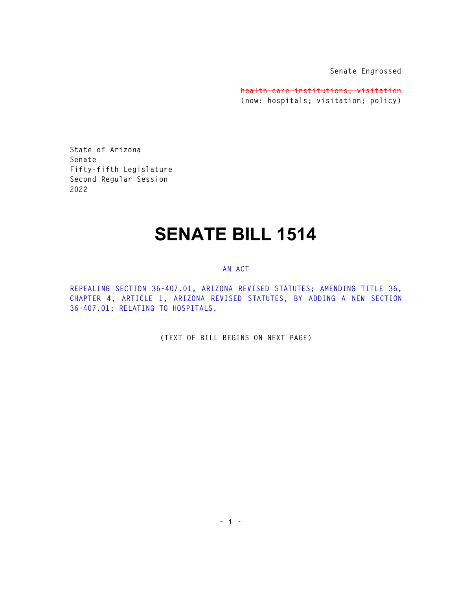**Senate Engrossed** 

**health care institutions; visitation (now: hospitals; visitation; policy)** 

**State of Arizona Senate Fifty-fifth Legislature Second Regular Session 2022** 

## **SENATE BILL 1514**

## **AN ACT**

**REPEALING SECTION 36-407.01, ARIZONA REVISED STATUTES; AMENDING TITLE 36, CHAPTER 4, ARTICLE 1, ARIZONA REVISED STATUTES, BY ADDING A NEW SECTION 36-407.01; RELATING TO HOSPITALS.** 

**(TEXT OF BILL BEGINS ON NEXT PAGE)**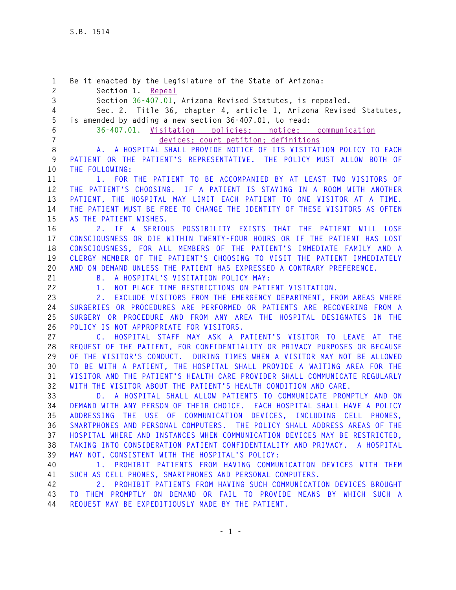**1 Be it enacted by the Legislature of the State of Arizona: 2 Section 1. Repeal 3 Section 36-407.01, Arizona Revised Statutes, is repealed. 4 Sec. 2. Title 36, chapter 4, article 1, Arizona Revised Statutes, 5 is amended by adding a new section 36-407.01, to read: 6 36-407.01. Visitation policies; notice; communication 7 devices; court petition; definitions 8 A. A HOSPITAL SHALL PROVIDE NOTICE OF ITS VISITATION POLICY TO EACH 9 PATIENT OR THE PATIENT'S REPRESENTATIVE. THE POLICY MUST ALLOW BOTH OF 10 THE FOLLOWING: 11 1. FOR THE PATIENT TO BE ACCOMPANIED BY AT LEAST TWO VISITORS OF 12 THE PATIENT'S CHOOSING. IF A PATIENT IS STAYING IN A ROOM WITH ANOTHER 13 PATIENT, THE HOSPITAL MAY LIMIT EACH PATIENT TO ONE VISITOR AT A TIME. 14 THE PATIENT MUST BE FREE TO CHANGE THE IDENTITY OF THESE VISITORS AS OFTEN 15 AS THE PATIENT WISHES. 16 2. IF A SERIOUS POSSIBILITY EXISTS THAT THE PATIENT WILL LOSE 17 CONSCIOUSNESS OR DIE WITHIN TWENTY-FOUR HOURS OR IF THE PATIENT HAS LOST 18 CONSCIOUSNESS, FOR ALL MEMBERS OF THE PATIENT'S IMMEDIATE FAMILY AND A 19 CLERGY MEMBER OF THE PATIENT'S CHOOSING TO VISIT THE PATIENT IMMEDIATELY 20 AND ON DEMAND UNLESS THE PATIENT HAS EXPRESSED A CONTRARY PREFERENCE. 21 B. A HOSPITAL'S VISITATION POLICY MAY: 22 1. NOT PLACE TIME RESTRICTIONS ON PATIENT VISITATION. 23 2. EXCLUDE VISITORS FROM THE EMERGENCY DEPARTMENT, FROM AREAS WHERE 24 SURGERIES OR PROCEDURES ARE PERFORMED OR PATIENTS ARE RECOVERING FROM A 25 SURGERY OR PROCEDURE AND FROM ANY AREA THE HOSPITAL DESIGNATES IN THE 26 POLICY IS NOT APPROPRIATE FOR VISITORS. 27 C. HOSPITAL STAFF MAY ASK A PATIENT'S VISITOR TO LEAVE AT THE 28 REQUEST OF THE PATIENT, FOR CONFIDENTIALITY OR PRIVACY PURPOSES OR BECAUSE 29 OF THE VISITOR'S CONDUCT. DURING TIMES WHEN A VISITOR MAY NOT BE ALLOWED 30 TO BE WITH A PATIENT, THE HOSPITAL SHALL PROVIDE A WAITING AREA FOR THE 31 VISITOR AND THE PATIENT'S HEALTH CARE PROVIDER SHALL COMMUNICATE REGULARLY 32 WITH THE VISITOR ABOUT THE PATIENT'S HEALTH CONDITION AND CARE. 33 D. A HOSPITAL SHALL ALLOW PATIENTS TO COMMUNICATE PROMPTLY AND ON 34 DEMAND WITH ANY PERSON OF THEIR CHOICE. EACH HOSPITAL SHALL HAVE A POLICY 35 ADDRESSING THE USE OF COMMUNICATION DEVICES, INCLUDING CELL PHONES, 36 SMARTPHONES AND PERSONAL COMPUTERS. THE POLICY SHALL ADDRESS AREAS OF THE 37 HOSPITAL WHERE AND INSTANCES WHEN COMMUNICATION DEVICES MAY BE RESTRICTED, 38 TAKING INTO CONSIDERATION PATIENT CONFIDENTIALITY AND PRIVACY. A HOSPITAL 39 MAY NOT, CONSISTENT WITH THE HOSPITAL'S POLICY: 40 1. PROHIBIT PATIENTS FROM HAVING COMMUNICATION DEVICES WITH THEM 41 SUCH AS CELL PHONES, SMARTPHONES AND PERSONAL COMPUTERS. 42 2. PROHIBIT PATIENTS FROM HAVING SUCH COMMUNICATION DEVICES BROUGHT 43 TO THEM PROMPTLY ON DEMAND OR FAIL TO PROVIDE MEANS BY WHICH SUCH A**